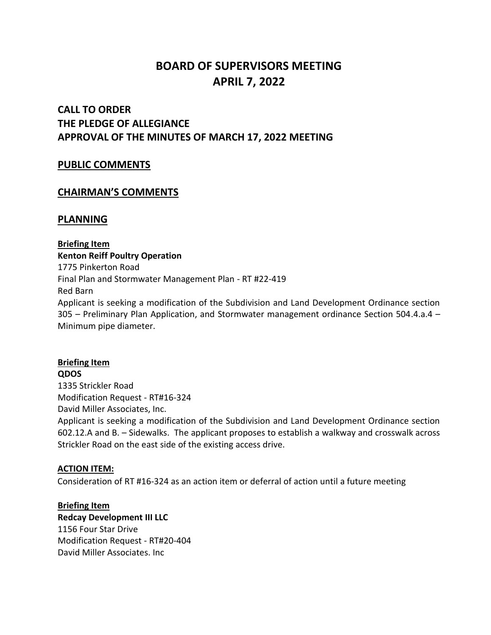# **BOARD OF SUPERVISORS MEETING APRIL 7, 2022**

## **CALL TO ORDER THE PLEDGE OF ALLEGIANCE APPROVAL OF THE MINUTES OF MARCH 17, 2022 MEETING**

## **PUBLIC COMMENTS**

## **CHAIRMAN'S COMMENTS**

## **PLANNING**

**Briefing Item Kenton Reiff Poultry Operation** 1775 Pinkerton Road Final Plan and Stormwater Management Plan - RT #22-419 Red Barn Applicant is seeking a modification of the Subdivision and Land Development Ordinance section 305 – Preliminary Plan Application, and Stormwater management ordinance Section 504.4.a.4 – Minimum pipe diameter.

**Briefing Item QDOS** 1335 Strickler Road Modification Request - RT#16-324 David Miller Associates, Inc. Applicant is seeking a modification of the Subdivision and Land Development Ordinance section 602.12.A and B. – Sidewalks. The applicant proposes to establish a walkway and crosswalk across Strickler Road on the east side of the existing access drive.

#### **ACTION ITEM:**

Consideration of RT #16-324 as an action item or deferral of action until a future meeting

**Briefing Item**

**Redcay Development III LLC** 1156 Four Star Drive Modification Request - RT#20-404 David Miller Associates. Inc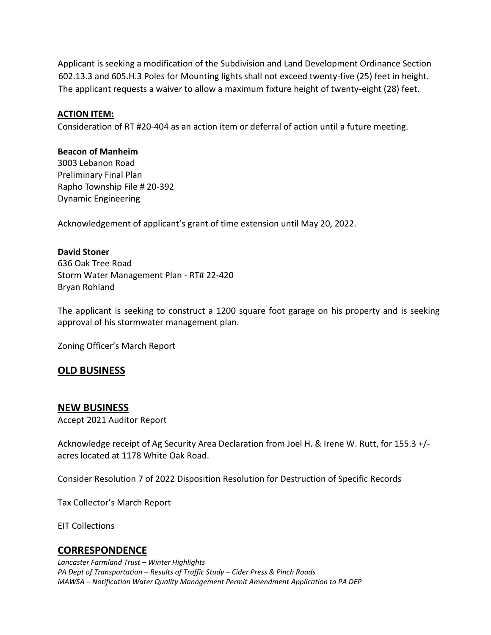Applicant is seeking a modification of the Subdivision and Land Development Ordinance Section 602.13.3 and 605.H.3 Poles for Mounting lights shall not exceed twenty-five (25) feet in height. The applicant requests a waiver to allow a maximum fixture height of twenty-eight (28) feet.

#### **ACTION ITEM:**

Consideration of RT #20-404 as an action item or deferral of action until a future meeting.

#### **Beacon of Manheim**

3003 Lebanon Road Preliminary Final Plan Rapho Township File # 20-392 Dynamic Engineering

Acknowledgement of applicant's grant of time extension until May 20, 2022.

#### **David Stoner**

636 Oak Tree Road Storm Water Management Plan - RT# 22-420 Bryan Rohland

The applicant is seeking to construct a 1200 square foot garage on his property and is seeking approval of his stormwater management plan.

Zoning Officer's March Report

## **OLD BUSINESS**

#### **NEW BUSINESS**

Accept 2021 Auditor Report

Acknowledge receipt of Ag Security Area Declaration from Joel H. & Irene W. Rutt, for 155.3 +/ acres located at 1178 White Oak Road.

Consider Resolution 7 of 2022 Disposition Resolution for Destruction of Specific Records

Tax Collector's March Report

EIT Collections

## **CORRESPONDENCE**

*Lancaster Farmland Trust – Winter Highlights PA Dept of Transportation – Results of Traffic Study – Cider Press & Pinch Roads MAWSA – Notification Water Quality Management Permit Amendment Application to PA DEP*